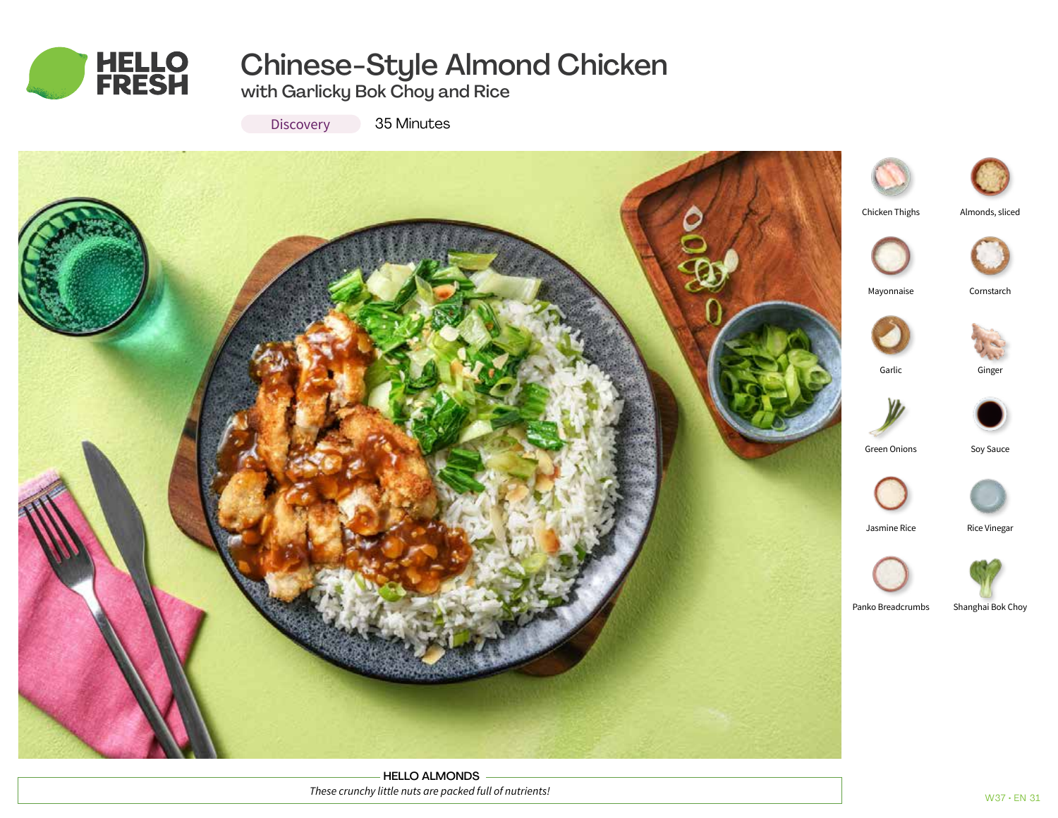

# Chinese-Style Almond Chicken

with Garlicky Bok Choy and Rice

**Discovery** 

35 Minutes



HELLO ALMONDS *These crunchy little nuts are packed full of nutrients!*